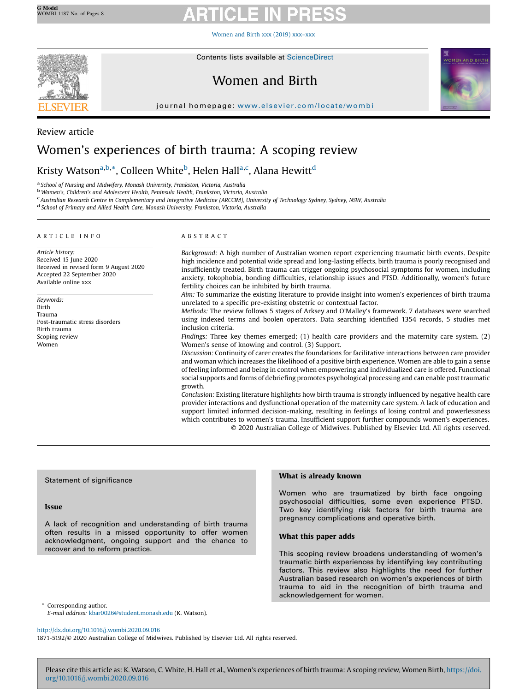[Women](http://dx.doi.org/10.1016/j.wombi.2020.09.016) and Birth xxx (2019) xxx–xxx



# Women and Birth



journal homepage: www.elsevier.com/locate/women/locate/women/locate/women/locate/women/locate/women/locate/women/locate/women/locate/women/locate/women/locate/women/locate/women/locate/women/locate/women/locate/wombi $\mathcal{$ 

# Review article

# Women's experiences of birth trauma: A scoping review

# Kristy Watson<sup>a,b,</sup>\*, Colleen White<sup>b</sup>, Helen Hall<sup>a,c</sup>, Alana Hewitt<sup>d</sup>

<sup>a</sup> School of Nursing and Midwifery, Monash University, Frankston, Victoria, Australia bwomen's, Children's and Adolescent Health, Peninsula Health, Frankston, Victoria, Australia

<sup>c</sup> Australian Research Centre in Complementary and Integrative Medicine (ARCCIM), University of Technology Sydney, Sydney, NSW, Australia<br><sup>d</sup> School of Primary and Allied Health Care, Monash University, Frankston, Victori

### A R T I C L E I N F O

Article history: Received 15 June 2020 Received in revised form 9 August 2020 Accepted 22 September 2020 Available online xxx

Keywords: Birth Trauma Post-traumatic stress disorders Birth trauma Scoping review Women

# A B S T R A C T

Background: A high number of Australian women report experiencing traumatic birth events. Despite high incidence and potential wide spread and long-lasting effects, birth trauma is poorly recognised and insufficiently treated. Birth trauma can trigger ongoing psychosocial symptoms for women, including anxiety, tokophobia, bonding difficulties, relationship issues and PTSD. Additionally, women's future fertility choices can be inhibited by birth trauma.

Aim: To summarize the existing literature to provide insight into women's experiences of birth trauma unrelated to a specific pre-existing obstetric or contextual factor.

Methods: The review follows 5 stages of Arksey and O'Malley's framework. 7 databases were searched using indexed terms and boolen operators. Data searching identified 1354 records, 5 studies met inclusion criteria.

Findings: Three key themes emerged; (1) health care providers and the maternity care system. (2) Women's sense of knowing and control. (3) Support.

Discussion: Continuity of carer creates the foundations for facilitative interactions between care provider and woman which increases the likelihood of a positive birth experience. Women are able to gain a sense of feeling informed and being in control when empowering and individualized care is offered. Functional social supports and forms of debriefing promotes psychological processing and can enable post traumatic growth.

Conclusion: Existing literature highlights how birth trauma is strongly influenced by negative health care provider interactions and dysfunctional operation of the maternity care system. A lack of education and support limited informed decision-making, resulting in feelings of losing control and powerlessness which contributes to women's trauma. Insufficient support further compounds women's experiences. © 2020 Australian College of Midwives. Published by Elsevier Ltd. All rights reserved.

# Statement of significance

#### Issue

A lack of recognition and understanding of birth trauma often results in a missed opportunity to offer women acknowledgment, ongoing support and the chance to recover and to reform practice.

#### Corresponding author. E-mail address: [kbar0026@student.monash.edu](mailto:kbar0026@student.monash.edu) (K. Watson).

<http://dx.doi.org/10.1016/j.wombi.2020.09.016>

1871-5192/© 2020 Australian College of Midwives. Published by Elsevier Ltd. All rights reserved.

# What is already known

Women who are traumatized by birth face ongoing psychosocial difficulties, some even experience PTSD. Two key identifying risk factors for birth trauma are pregnancy complications and operative birth.

## What this paper adds

This scoping review broadens understanding of women's traumatic birth experiences by identifying key contributing factors. This review also highlights the need for further Australian based research on women's experiences of birth trauma to aid in the recognition of birth trauma and acknowledgement for women.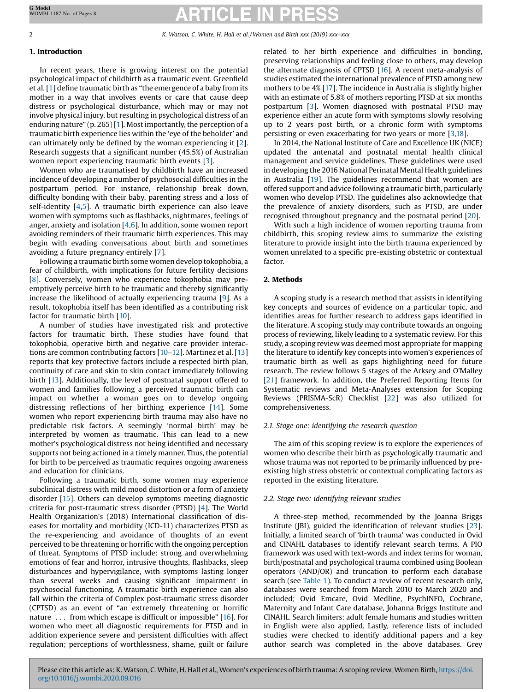# 1. Introduction

In recent years, there is growing interest on the potential psychological impact of childbirth as a traumatic event. Greenfield et al. [\[1](#page-6-0)] define traumatic birth as "the emergence of a baby from its mother in a way that involves events or care that cause deep distress or psychological disturbance, which may or may not involve physical injury, but resulting in psychological distress of an enduring nature"  $(p. 265)$  [[1](#page-6-0)]. Most importantly, the perception of a traumatic birth experience lies within the 'eye of the beholder' and can ultimately only be defined by the woman experiencing it [[2\]](#page-6-0). Research suggests that a significant number (45.5%) of Australian women report experiencing traumatic birth events [\[3](#page-6-0)].

Women who are traumatised by childbirth have an increased incidence of developing a number of psychosocial difficulties in the postpartum period. For instance, relationship break down, difficulty bonding with their baby, parenting stress and a loss of self-identity [[4](#page-6-0),[5](#page-6-0)]. A traumatic birth experience can also leave women with symptoms such as flashbacks, nightmares, feelings of anger, anxiety and isolation  $[4,6]$  $[4,6]$ . In addition, some women report avoiding reminders of their traumatic birth experiences. This may begin with evading conversations about birth and sometimes avoiding a future pregnancy entirely [\[7](#page-6-0)].

Following a traumatic birth some women develop tokophobia, a fear of childbirth, with implications for future fertility decisions [[8](#page-6-0)]. Conversely, women who experience tokophobia may preemptively perceive birth to be traumatic and thereby significantly increase the likelihood of actually experiencing trauma [\[9](#page-6-0)]. As a result, tokophobia itself has been identified as a contributing risk factor for traumatic birth [[10](#page-6-0)].

A number of studies have investigated risk and protective factors for traumatic birth. These studies have found that tokophobia, operative birth and negative care provider interactions are common contributing factors [10–[12\]](#page-6-0). Martinez et al. [\[13\]](#page-6-0) reports that key protective factors include a respected birth plan, continuity of care and skin to skin contact immediately following birth [[13\]](#page-6-0). Additionally, the level of postnatal support offered to women and families following a perceived traumatic birth can impact on whether a woman goes on to develop ongoing distressing reflections of her birthing experience [[14](#page-6-0)]. Some women who report experiencing birth trauma may also have no predictable risk factors. A seemingly 'normal birth' may be interpreted by women as traumatic. This can lead to a new mother's psychological distress not being identified and necessary supports not being actioned in a timely manner. Thus, the potential for birth to be perceived as traumatic requires ongoing awareness and education for clinicians.

Following a traumatic birth, some women may experience subclinical distress with mild mood distortion or a form of anxiety disorder [[15](#page-6-0)]. Others can develop symptoms meeting diagnostic criteria for post-traumatic stress disorder (PTSD) [[4](#page-6-0)]. The World Health Organization's (2018) International classification of diseases for mortality and morbidity (ICD-11) characterizes PTSD as the re-experiencing and avoidance of thoughts of an event perceived to be threatening or horrific with the ongoing perception of threat. Symptoms of PTSD include: strong and overwhelming emotions of fear and horror, intrusive thoughts, flashbacks, sleep disturbances and hypervigilance, with symptoms lasting longer than several weeks and causing significant impairment in psychosocial functioning. A traumatic birth experience can also fall within the criteria of Complex post-traumatic stress disorder (CPTSD) as an event of "an extremely threatening or horrific nature ... from which escape is difficult or impossible" [[16](#page-6-0)]. For women who meet all diagnostic requirements for PTSD and in addition experience severe and persistent difficulties with affect regulation; perceptions of worthlessness, shame, guilt or failure related to her birth experience and difficulties in bonding, preserving relationships and feeling close to others, may develop the alternate diagnosis of CPTSD [\[16](#page-6-0)]. A recent meta-analysis of studies estimated the international prevalence of PTSD among new mothers to be 4% [\[17](#page-6-0)]. The incidence in Australia is slightly higher with an estimate of 5.8% of mothers reporting PTSD at six months postpartum [[3](#page-6-0)]. Women diagnosed with postnatal PTSD may experience either an acute form with symptoms slowly resolving up to 2 years post birth, or a chronic form with symptoms persisting or even exacerbating for two years or more [\[3](#page-6-0)[,18\]](#page-7-0).

In 2014, the National Institute of Care and Excellence UK (NICE) updated the antenatal and postnatal mental health clinical management and service guidelines. These guidelines were used in developing the 2016 National Perinatal Mental Health guidelines in Australia [\[19](#page-7-0)]. The guidelines recommend that women are offered support and advice following a traumatic birth, particularly women who develop PTSD. The guidelines also acknowledge that the prevalence of anxiety disorders, such as PTSD, are under recognised throughout pregnancy and the postnatal period [[20](#page-7-0)].

With such a high incidence of women reporting trauma from childbirth, this scoping review aims to summarize the existing literature to provide insight into the birth trauma experienced by women unrelated to a specific pre-existing obstetric or contextual factor.

# 2. Methods

A scoping study is a research method that assists in identifying key concepts and sources of evidence on a particular topic, and identifies areas for further research to address gaps identified in the literature. A scoping study may contribute towards an ongoing process of reviewing, likely leading to a systematic review. For this study, a scoping review was deemed most appropriate for mapping the literature to identify key concepts into women's experiences of traumatic birth as well as gaps highlighting need for future research. The review follows 5 stages of the Arksey and O'Malley [[21](#page-7-0)] framework. In addition, the Preferred Reporting Items for Systematic reviews and Meta-Analyses extension for Scoping Reviews (PRISMA-ScR) Checklist [\[22](#page-7-0)] was also utilized for comprehensiveness.

# 2.1. Stage one: identifying the research question

The aim of this scoping review is to explore the experiences of women who describe their birth as psychologically traumatic and whose trauma was not reported to be primarily influenced by preexisting high stress obstetric or contextual complicating factors as reported in the existing literature.

## 2.2. Stage two: identifying relevant studies

A three-step method, recommended by the Joanna Briggs Institute (JBI), guided the identification of relevant studies [[23\]](#page-7-0). Initially, a limited search of 'birth trauma' was conducted in Ovid and CINAHL databases to identify relevant search terms. A PIO framework was used with text-words and index terms for woman, birth/postnatal and psychological trauma combined using Boolean operators (AND/OR) and truncation to perform each database search (see [Table](#page-2-0) 1). To conduct a review of recent research only, databases were searched from March 2010 to March 2020 and included; Ovid Emcare, Ovid Medline, PsychINFO, Cochrane, Maternity and Infant Care database, Johanna Briggs Institute and CINAHL. Search limiters: adult female humans and studies written in English were also applied. Lastly, reference lists of included studies were checked to identify additional papers and a key author search was completed in the above databases. Grey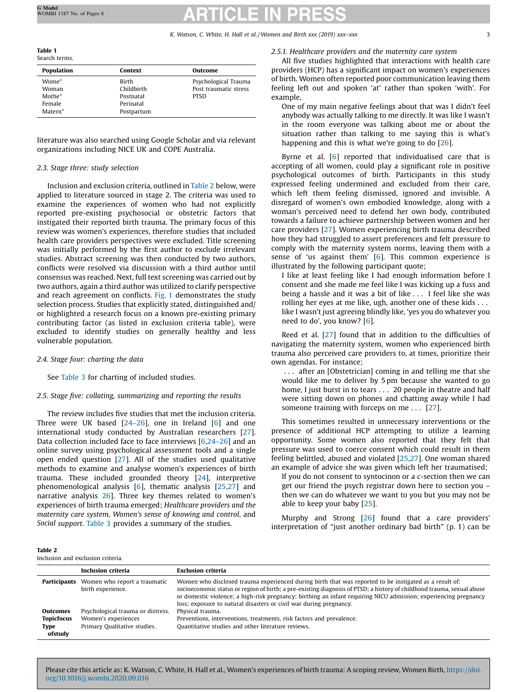<span id="page-2-0"></span>Table 1 Search terms.

| Population          | Context    | <b>Outcome</b>        |  |  |
|---------------------|------------|-----------------------|--|--|
| Wome*               | Birth      | Psychological Trauma  |  |  |
| Woman               | Childbirth | Post traumatic stress |  |  |
| Mothe*              | Postnatal  | <b>PTSD</b>           |  |  |
| Female              | Perinatal  |                       |  |  |
| Matern <sup>*</sup> | Postpartum |                       |  |  |
|                     |            |                       |  |  |

literature was also searched using Google Scholar and via relevant organizations including NICE UK and COPE Australia.

# 2.3. Stage three: study selection

Inclusion and exclusion criteria, outlined in Table 2 below, were applied to literature sourced in stage 2. The criteria was used to examine the experiences of women who had not explicitly reported pre-existing psychosocial or obstetric factors that instigated their reported birth trauma. The primary focus of this review was women's experiences, therefore studies that included health care providers perspectives were excluded. Title screening was initially performed by the first author to exclude irrelevant studies. Abstract screening was then conducted by two authors, conflicts were resolved via discussion with a third author until consensus was reached. Next, full text screening was carried out by two authors, again a third author was utilized to clarify perspective and reach agreement on conflicts. [Fig.](#page-3-0) 1 demonstrates the study selection process. Studies that explicitly stated, distinguished and/ or highlighted a research focus on a known pre-existing primary contributing factor (as listed in exclusion criteria table), were excluded to identify studies on generally healthy and less vulnerable population.

## 2.4. Stage four: charting the data

See [Table](#page-4-0) 3 for charting of included studies.

# 2.5. Stage five: collating, summarizing and reporting the results

The review includes five studies that met the inclusion criteria. Three were UK based [\[24](#page-7-0)–26], one in Ireland [[6\]](#page-6-0) and one international study conducted by Australian researchers [[27](#page-7-0)]. Data collection included face to face interviews [[6,](#page-6-0)24–[26\]](#page-7-0) and an online survey using psychological assessment tools and a single open ended question [\[27](#page-7-0)]. All of the studies used qualitative methods to examine and analyse women's experiences of birth trauma. These included grounded theory [[24](#page-7-0)], interpretive phenomenological analysis [[6\]](#page-6-0), thematic analysis [[25,27](#page-7-0)] and narrative analysis [26](#page-7-0)]. Three key themes related to women's experiences of birth trauma emerged; Healthcare providers and the maternity care system, Women's sense of knowing and control, and Social support. [Table](#page-4-0) 3 provides a summary of the studies.

# 2.5.1. Healthcare providers and the maternity care system

All five studies highlighted that interactions with health care providers (HCP) has a significant impact on women's experiences of birth. Women often reported poor communication leaving them feeling left out and spoken 'at' rather than spoken 'with'. For example,

One of my main negative feelings about that was I didn't feel anybody was actually talking to me directly. It was like I wasn't in the room everyone was talking about me or about the situation rather than talking to me saying this is what's happening and this is what we're going to do [[26](#page-7-0)].

Byrne et al. [\[6](#page-6-0)] reported that individualised care that is accepting of all women, could play a significant role in positive psychological outcomes of birth. Participants in this study expressed feeling undermined and excluded from their care, which left them feeling dismissed, ignored and invisible. A disregard of women's own embodied knowledge, along with a woman's perceived need to defend her own body, contributed towards a failure to achieve partnership between women and her care providers [[27](#page-7-0)]. Women experiencing birth trauma described how they had struggled to assert preferences and felt pressure to comply with the maternity system norms, leaving them with a sense of 'us against them' [\[6](#page-6-0)]. This common experience is illustrated by the following participant quote;

I like at least feeling like I had enough information before I consent and she made me feel like I was kicking up a fuss and being a hassle and it was a bit of like . . . I feel like she was rolling her eyes at me like, ugh, another one of these kids . . . like I wasn't just agreeing blindly like, 'yes you do whatever you need to do', you know? [\[6](#page-6-0)].

Reed et al. [\[27](#page-7-0)] found that in addition to the difficulties of navigating the maternity system, women who experienced birth trauma also perceived care providers to, at times, prioritize their own agendas. For instance;

. . . after an [Obstetrician] coming in and telling me that she would like me to deliver by 5 pm because she wanted to go home, I just burst in to tears . . . 20 people in theatre and half were sitting down on phones and chatting away while I had someone training with forceps on me . . . [[27](#page-7-0)].

This sometimes resulted in unnecessary interventions or the presence of additional HCP attempting to utilize a learning opportunity. Some women also reported that they felt that pressure was used to coerce consent which could result in them feeling belittled, abused and violated [\[25,27](#page-7-0)]. One woman shared an example of advice she was given which left her traumatised;

If you do not consent to syntocinon or a c-section then we can get our friend the psych registrar down here to section you – then we can do whatever we want to you but you may not be able to keep your baby [[25\]](#page-7-0).

Murphy and Strong [\[26](#page-7-0)] found that a care providers' interpretation of "just another ordinary bad birth" (p. 1) can be

|--|

Inclusion and exclusion criteria.

|                                      | <b>Inclusion criteria</b>                                | <b>Exclusion criteria</b>                                                                                                                                                                                                                                                                                                                                                                                                  |
|--------------------------------------|----------------------------------------------------------|----------------------------------------------------------------------------------------------------------------------------------------------------------------------------------------------------------------------------------------------------------------------------------------------------------------------------------------------------------------------------------------------------------------------------|
| Participants                         | Women who report a traumatic<br>birth experience.        | Women who disclosed trauma experienced during birth that was reported to be instigated as a result of:<br>socioeconomic status or region of birth; a pre-existing diagnosis of PTSD; a history of childhood trauma, sexual abuse<br>or domestic violence; a high-risk pregnancy; birthing an infant requiring NICU admission; experiencing pregnancy<br>loss; exposure to natural disasters or civil war during pregnancy. |
| <b>Outcomes</b><br><b>Topicfocus</b> | Psychological trauma or distress.<br>Women's experiences | Physical trauma.<br>Preventions, interventions, treatments, risk factors and prevalence.                                                                                                                                                                                                                                                                                                                                   |
|                                      |                                                          |                                                                                                                                                                                                                                                                                                                                                                                                                            |
| Type<br>ofstudy                      | Primary Qualitative studies.                             | Quantitative studies and other literature reviews.                                                                                                                                                                                                                                                                                                                                                                         |

Please cite this article as: K. Watson, C. White, H. Hall et al., Women's experiences of birth trauma: A scoping review, Women Birth, [https://doi.](http://dx.doi.org/10.1016/j.wombi.2020.09.016) [org/10.1016/j.wombi.2020.09.016](http://dx.doi.org/10.1016/j.wombi.2020.09.016)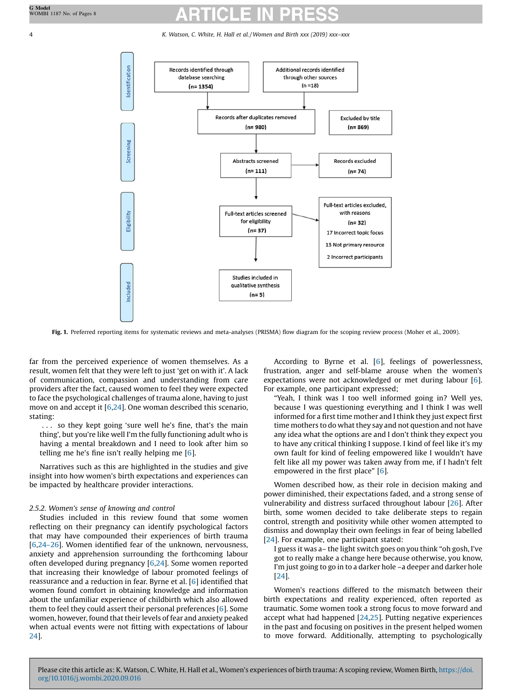<span id="page-3-0"></span>

Fig. 1. Preferred reporting items for systematic reviews and meta-analyses (PRISMA) flow diagram for the scoping review process (Moher et al., 2009).

far from the perceived experience of women themselves. As a result, women felt that they were left to just 'get on with it'. A lack of communication, compassion and understanding from care providers after the fact, caused women to feel they were expected to face the psychological challenges of trauma alone, having to just move on and accept it [[6,](#page-6-0)[24](#page-7-0)]. One woman described this scenario, stating:

. . . so they kept going 'sure well he's fine, that's the main thing', but you're like well I'm the fully functioning adult who is having a mental breakdown and I need to look after him so telling me he's fine isn't really helping me [\[6](#page-6-0)].

Narratives such as this are highlighted in the studies and give insight into how women's birth expectations and experiences can be impacted by healthcare provider interactions.

# 2.5.2. Women's sense of knowing and control

Studies included in this review found that some women reflecting on their pregnancy can identify psychological factors that may have compounded their experiences of birth trauma [[6](#page-6-0),24–[26\]](#page-7-0). Women identified fear of the unknown, nervousness, anxiety and apprehension surrounding the forthcoming labour often developed during pregnancy [\[6](#page-6-0)[,24\]](#page-7-0). Some women reported that increasing their knowledge of labour promoted feelings of reassurance and a reduction in fear. Byrne et al. [[6\]](#page-6-0) identified that women found comfort in obtaining knowledge and information about the unfamiliar experience of childbirth which also allowed them to feel they could assert their personal preferences [[6\]](#page-6-0). Some women, however, found that their levels of fear and anxiety peaked when actual events were not fitting with expectations of labour [24](#page-7-0)].

According to Byrne et al. [[6](#page-6-0)], feelings of powerlessness, frustration, anger and self-blame arouse when the women's expectations were not acknowledged or met during labour [[6\]](#page-6-0). For example, one participant expressed;

"Yeah, I think was I too well informed going in? Well yes, because I was questioning everything and I think I was well informed for a first time mother and I think they just expect first time mothers to do what they say and not question and not have any idea what the options are and I don't think they expect you to have any critical thinking I suppose. I kind of feel like it's my own fault for kind of feeling empowered like I wouldn't have felt like all my power was taken away from me, if I hadn't felt empowered in the first place" [\[6](#page-6-0)].

Women described how, as their role in decision making and power diminished, their expectations faded, and a strong sense of vulnerability and distress surfaced throughout labour [[26](#page-7-0)]. After birth, some women decided to take deliberate steps to regain control, strength and positivity while other women attempted to dismiss and downplay their own feelings in fear of being labelled [[24](#page-7-0)]. For example, one participant stated:

I guess it was a– the light switch goes on you think "oh gosh, I've got to really make a change here because otherwise, you know, I'm just going to go in to a darker hole –a deeper and darker hole [[24](#page-7-0)].

Women's reactions differed to the mismatch between their birth expectations and reality experienced, often reported as traumatic. Some women took a strong focus to move forward and accept what had happened [\[24,25](#page-7-0)]. Putting negative experiences in the past and focusing on positives in the present helped women to move forward. Additionally, attempting to psychologically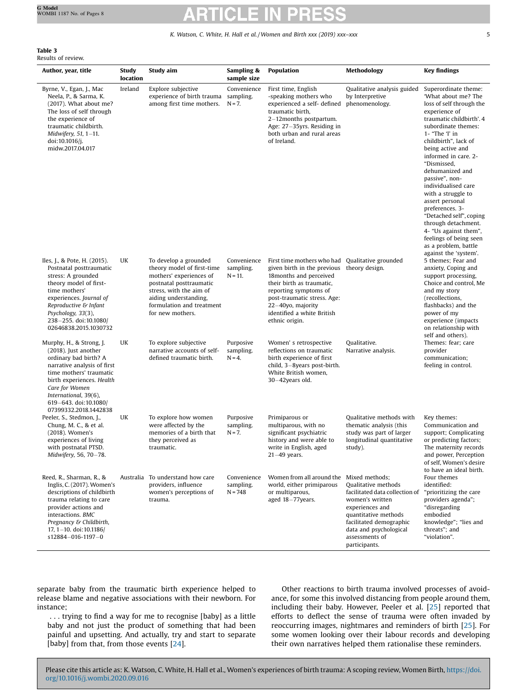First time, English -speaking mothers who

traumatic birth, 2-12months postpartum. Age: 27-35yrs. Residing in both urban and rural areas

of Ireland.

experienced a self- defined phenomenology.

Population Methodology Key findings

by Interpretive

Qualitative analysis guided

<span id="page-4-0"></span>Table 3 Results of review.

Author, year, title Study location Study aim Sampling & sample size Byrne, V., Egan, J., Mac Neela, P., & Sarma, K. (2017). What about me? The loss of self through the experience of traumatic childbirth. Midwifery, 51,  $1-11$ . doi:10.1016/j. midw.2017.04.017 Ireland Explore subjective experience of birth trauma among first time mothers. Convenience sampling.  $N = 7.$ 

| Iles, J., & Pote, H. (2015).<br>Postnatal posttraumatic<br>stress: A grounded<br>theory model of first-<br>time mothers'<br>experiences. Journal of<br>Reproductive & Infant<br>Psychology, 33(3),<br>238-255. doi:10.1080/<br>02646838.2015.1030732          | UK        | To develop a grounded<br>theory model of first-time<br>mothers' experiences of<br>postnatal posttraumatic<br>stress, with the aim of<br>aiding understanding,<br>formulation and treatment<br>for new mothers. | Convenience<br>sampling.<br>$N = 11$ . | First time mothers who had<br>given birth in the previous<br>18months and perceived<br>their birth as traumatic.<br>reporting symptoms of<br>post-traumatic stress. Age:<br>22-40yo, majority<br>identified a white British<br>ethnic origin. | Qualitative grounded<br>theory design.                                                                                                                                                                             | as a problem, battle<br>against the 'system'.<br>5 themes: Fear and<br>anxiety, Coping and<br>support processing,<br>Choice and control. Me<br>and my story<br>(recollections.<br>flashbacks) and the<br>power of my<br>experience (impacts<br>on relationship with<br>self and others). |
|---------------------------------------------------------------------------------------------------------------------------------------------------------------------------------------------------------------------------------------------------------------|-----------|----------------------------------------------------------------------------------------------------------------------------------------------------------------------------------------------------------------|----------------------------------------|-----------------------------------------------------------------------------------------------------------------------------------------------------------------------------------------------------------------------------------------------|--------------------------------------------------------------------------------------------------------------------------------------------------------------------------------------------------------------------|------------------------------------------------------------------------------------------------------------------------------------------------------------------------------------------------------------------------------------------------------------------------------------------|
| Murphy, H., & Strong, J.<br>(2018). Just another<br>ordinary bad birth? A<br>narrative analysis of first<br>time mothers' traumatic<br>birth experiences. Health<br>Care for Women<br>International, 39(6),<br>619-643. doi:10.1080/<br>07399332.2018.1442838 | UK        | To explore subjective<br>narrative accounts of self-<br>defined traumatic birth.                                                                                                                               | Purposive<br>sampling.<br>$N = 4$ .    | Women's retrospective<br>reflections on traumatic<br>birth experience of first<br>child, 3-8years post-birth.<br>White British women.<br>30-42years old.                                                                                      | Oualitative.<br>Narrative analysis.                                                                                                                                                                                | Themes: fear: care<br>provider<br>communication:<br>feeling in control.                                                                                                                                                                                                                  |
| Peeler, S., Stedmon, J.,<br>Chung, M. C., & et al.<br>(2018). Women's<br>experiences of living<br>with postnatal PTSD.<br>Midwifery, 56, 70-78.                                                                                                               | UK        | To explore how women<br>were affected by the<br>memories of a birth that<br>they perceived as<br>traumatic.                                                                                                    | Purposive<br>sampling.<br>$N = 7$ .    | Primiparous or<br>multiparous, with no<br>significant psychiatric<br>history and were able to<br>write in English, aged<br>$21-49$ years.                                                                                                     | Oualitative methods with<br>thematic analysis (this<br>study was part of larger<br>longitudinal quantitative<br>study).                                                                                            | Key themes:<br>Communication and<br>support; Complicating<br>or predicting factors;<br>The maternity records<br>and power, Perception<br>of self. Women's desire<br>to have an ideal birth.                                                                                              |
| Reed, R., Sharman, R., &<br>Inglis, C. (2017). Women's<br>descriptions of childbirth<br>trauma relating to care<br>provider actions and<br>interactions. BMC<br>Pregnancy & Childbirth,<br>17, $1 - 10$ , doi: 10, 1186/<br>s12884-016-1197-0                 | Australia | To understand how care<br>providers, influence<br>women's perceptions of<br>trauma.                                                                                                                            | Convenience<br>sampling.<br>$N = 748$  | Women from all around the Mixed methods:<br>world, either primiparous<br>or multiparous,<br>aged 18-77years.                                                                                                                                  | <b>Oualitative methods</b><br>facilitated data collection of<br>women's written<br>experiences and<br>quantitative methods<br>facilitated demographic<br>data and psychological<br>assessments of<br>participants. | Four themes<br>identified:<br>"prioritizing the care<br>providers agenda";<br>"disregarding<br>embodied<br>knowledge"; "lies and<br>threats"; and<br>"violation".                                                                                                                        |

separate baby from the traumatic birth experience helped to release blame and negative associations with their newborn. For instance;

. . . trying to find a way for me to recognise [baby] as a little baby and not just the product of something that had been painful and upsetting. And actually, try and start to separate [baby] from that, from those events [[24](#page-7-0)].

Other reactions to birth trauma involved processes of avoidance, for some this involved distancing from people around them, including their baby. However, Peeler et al. [[25\]](#page-7-0) reported that efforts to deflect the sense of trauma were often invaded by reoccurring images, nightmares and reminders of birth [\[25](#page-7-0)]. For some women looking over their labour records and developing their own narratives helped them rationalise these reminders.

Superordinate theme: 'What about me? The loss of self through the experience of traumatic childbirth'. 4 subordinate themes: 1- "The 'I' in childbirth", lack of being active and informed in care. 2- "Dismissed, dehumanized and passive", nonindividualised care with a struggle to assert personal preferences. 3- "Detached self", coping through detachment. 4- "Us against them", feelings of being seen

Please cite this article as: K. Watson, C. White, H. Hall et al., Women's experiences of birth trauma: A scoping review, Women Birth, [https://doi.](http://dx.doi.org/10.1016/j.wombi.2020.09.016) [org/10.1016/j.wombi.2020.09.016](http://dx.doi.org/10.1016/j.wombi.2020.09.016)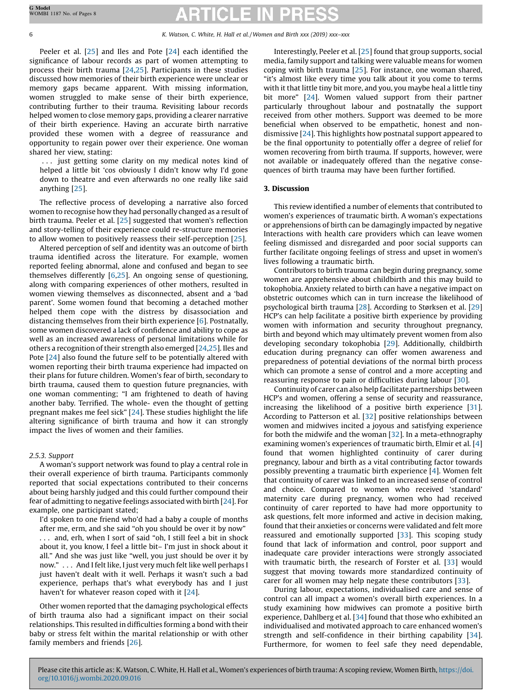Peeler et al. [[25\]](#page-7-0) and Iles and Pote [\[24](#page-7-0)] each identified the significance of labour records as part of women attempting to process their birth trauma [[24](#page-7-0),[25](#page-7-0)]. Participants in these studies discussed how memories of their birth experience were unclear or memory gaps became apparent. With missing information, women struggled to make sense of their birth experience, contributing further to their trauma. Revisiting labour records helped women to close memory gaps, providing a clearer narrative of their birth experience. Having an accurate birth narrative provided these women with a degree of reassurance and opportunity to regain power over their experience. One woman shared her view, stating:

. . . just getting some clarity on my medical notes kind of helped a little bit 'cos obviously I didn't know why I'd gone down to theatre and even afterwards no one really like said anything [\[25\]](#page-7-0).

The reflective process of developing a narrative also forced women to recognise how they had personally changed as a result of birth trauma. Peeler et al. [\[25](#page-7-0)] suggested that women's reflection and story-telling of their experience could re-structure memories to allow women to positively reassess their self-perception [\[25](#page-7-0)].

Altered perception of self and identity was an outcome of birth trauma identified across the literature. For example, women reported feeling abnormal, alone and confused and began to see themselves differently [\[6](#page-6-0)[,25](#page-7-0)]. An ongoing sense of questioning, along with comparing experiences of other mothers, resulted in women viewing themselves as disconnected, absent and a 'bad parent'. Some women found that becoming a detached mother helped them cope with the distress by disassociation and distancing themselves from their birth experience [[6\]](#page-6-0). Postnatally, some women discovered a lack of confidence and ability to cope as well as an increased awareness of personal limitations while for others a recognition of their strength also emerged [[24](#page-7-0),[25](#page-7-0)]. Iles and Pote [\[24\]](#page-7-0) also found the future self to be potentially altered with women reporting their birth trauma experience had impacted on their plans for future children. Women's fear of birth, secondary to birth trauma, caused them to question future pregnancies, with one woman commenting; "I am frightened to death of having another baby. Terrified. The whole- even the thought of getting pregnant makes me feel sick" [[24](#page-7-0)]. These studies highlight the life altering significance of birth trauma and how it can strongly impact the lives of women and their families.

### 2.5.3. Support

A woman's support network was found to play a central role in their overall experience of birth trauma. Participants commonly reported that social expectations contributed to their concerns about being harshly judged and this could further compound their fear of admitting to negative feelings associated with birth [\[24](#page-7-0)]. For example, one participant stated;

I'd spoken to one friend who'd had a baby a couple of months after me, erm, and she said "oh you should be over it by now" . . . and, erh, when I sort of said "oh, I still feel a bit in shock about it, you know, I feel a little bit– I'm just in shock about it all." And she was just like "well, you just should be over it by now." . . . And I felt like, I just very much felt like well perhaps I just haven't dealt with it well. Perhaps it wasn't such a bad experience, perhaps that's what everybody has and I just haven't for whatever reason coped with it [\[24](#page-7-0)].

Other women reported that the damaging psychological effects of birth trauma also had a significant impact on their social relationships. This resulted in difficulties forming a bond with their baby or stress felt within the marital relationship or with other family members and friends [[26](#page-7-0)].

Interestingly, Peeler et al. [[25](#page-7-0)] found that group supports, social media, family support and talking were valuable means for women coping with birth trauma [[25](#page-7-0)]. For instance, one woman shared, "it's almost like every time you talk about it you come to terms with it that little tiny bit more, and you, you maybe heal a little tiny bit more" [[24](#page-7-0)]. Women valued support from their partner particularly throughout labour and postnatally the support received from other mothers. Support was deemed to be more beneficial when observed to be empathetic, honest and nondismissive [\[24](#page-7-0)]. This highlights how postnatal support appeared to be the final opportunity to potentially offer a degree of relief for women recovering from birth trauma. If supports, however, were not available or inadequately offered than the negative consequences of birth trauma may have been further fortified.

#### 3. Discussion

This review identified a number of elements that contributed to women's experiences of traumatic birth. A woman's expectations or apprehensions of birth can be damagingly impacted by negative Interactions with health care providers which can leave women feeling dismissed and disregarded and poor social supports can further facilitate ongoing feelings of stress and upset in women's lives following a traumatic birth.

Contributors to birth trauma can begin during pregnancy, some women are apprehensive about childbirth and this may build to tokophobia. Anxiety related to birth can have a negative impact on obstetric outcomes which can in turn increase the likelihood of psychological birth trauma [[28](#page-7-0)]. According to Størksen et al. [[29](#page-7-0)] HCP's can help facilitate a positive birth experience by providing women with information and security throughout pregnancy, birth and beyond which may ultimately prevent women from also developing secondary tokophobia [[29](#page-7-0)]. Additionally, childbirth education during pregnancy can offer women awareness and preparedness of potential deviations of the normal birth process which can promote a sense of control and a more accepting and reassuring response to pain or difficulties during labour [\[30](#page-7-0)].

Continuity of carer can also help facilitate partnerships between HCP's and women, offering a sense of security and reassurance, increasing the likelihood of a positive birth experience [\[31\]](#page-7-0). According to Patterson et al. [\[32\]](#page-7-0) positive relationships between women and midwives incited a joyous and satisfying experience for both the midwife and the woman [\[32\]](#page-7-0). In a meta-ethnography examining women's experiences of traumatic birth, Elmir et al. [[4](#page-6-0)] found that women highlighted continuity of carer during pregnancy, labour and birth as a vital contributing factor towards possibly preventing a traumatic birth experience [[4\]](#page-6-0). Women felt that continuity of carer was linked to an increased sense of control and choice. Compared to women who received 'standard' maternity care during pregnancy, women who had received continuity of carer reported to have had more opportunity to ask questions, felt more informed and active in decision making, found that their anxieties or concerns were validated and felt more reassured and emotionally supported [\[33](#page-7-0)]. This scoping study found that lack of information and control, poor support and inadequate care provider interactions were strongly associated with traumatic birth, the research of Forster et al. [[33](#page-7-0)] would suggest that moving towards more standardized continuity of carer for all women may help negate these contributors [\[33](#page-7-0)].

During labour, expectations, individualised care and sense of control can all impact a women's overall birth experiences. In a study examining how midwives can promote a positive birth experience, Dahlberg et al. [\[34](#page-7-0)] found that those who exhibited an individualised and motivated approach to care enhanced women's strength and self-confidence in their birthing capability [[34\]](#page-7-0). Furthermore, for women to feel safe they need dependable,

Please cite this article as: K. Watson, C. White, H. Hall et al., Women's experiences of birth trauma: A scoping review, Women Birth, [https://doi.](http://dx.doi.org/10.1016/j.wombi.2020.09.016) [org/10.1016/j.wombi.2020.09.016](http://dx.doi.org/10.1016/j.wombi.2020.09.016)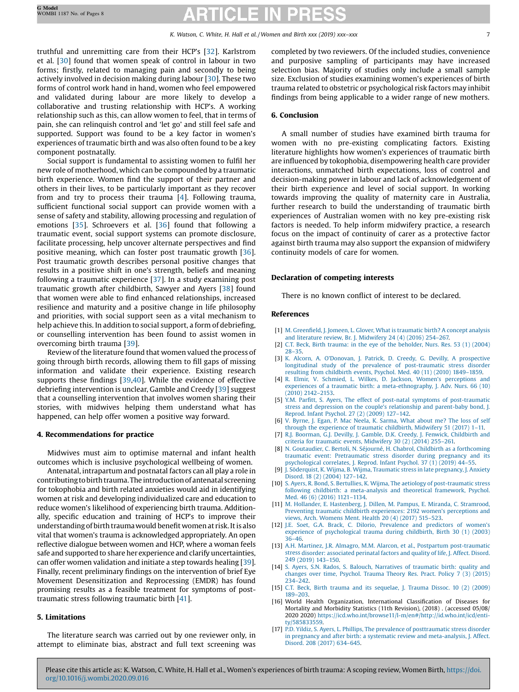<span id="page-6-0"></span>truthful and unremitting care from their HCP's [[32\]](#page-7-0). Karlstrom et al. [[30](#page-7-0)] found that women speak of control in labour in two forms; firstly, related to managing pain and secondly to being actively involved in decision making during labour [\[30](#page-7-0)]. These two forms of control work hand in hand, women who feel empowered and validated during labour are more likely to develop a collaborative and trusting relationship with HCP's. A working relationship such as this, can allow women to feel, that in terms of pain, she can relinquish control and 'let go' and still feel safe and supported. Support was found to be a key factor in women's experiences of traumatic birth and was also often found to be a key component postnatally.

Social support is fundamental to assisting women to fulfil her new role of motherhood, which can be compounded by a traumatic birth experience. Women find the support of their partner and others in their lives, to be particularly important as they recover from and try to process their trauma [4]. Following trauma, sufficient functional social support can provide women with a sense of safety and stability, allowing processing and regulation of emotions [\[35](#page-7-0)]. Schroevers et al. [\[36\]](#page-7-0) found that following a traumatic event, social support systems can promote disclosure, facilitate processing, help uncover alternate perspectives and find positive meaning, which can foster post traumatic growth [[36](#page-7-0)]. Post traumatic growth describes personal positive changes that results in a positive shift in one's strength, beliefs and meaning following a traumatic experience [[37](#page-7-0)]. In a study examining post traumatic growth after childbirth, Sawyer and Ayers [[38](#page-7-0)] found that women were able to find enhanced relationships, increased resilience and maturity and a positive change in life philosophy and priorities, with social support seen as a vital mechanism to help achieve this. In addition to social support, a form of debriefing, or counselling intervention has been found to assist women in overcoming birth trauma [\[39](#page-7-0)].

Review of the literature found that women valued the process of going through birth records, allowing them to fill gaps of missing information and validate their experience. Existing research supports these findings [[39,40](#page-7-0)]. While the evidence of effective debriefing intervention is unclear, Gamble and Creedy [\[39](#page-7-0)] suggest that a counselling intervention that involves women sharing their stories, with midwives helping them understand what has happened, can help offer women a positive way forward.

### 4. Recommendations for practice

Midwives must aim to optimise maternal and infant health outcomes which is inclusive psychological wellbeing of women.

Antenatal, intrapartum and postnatal factors can all play a role in contributing to birth trauma. The introduction of antenatal screening for tokophobia and birth related anxieties would aid in identifying women at risk and developing individualized care and education to reduce women's likelihood of experiencing birth trauma. Additionally, specific education and training of HCP's to improve their understanding of birth trauma would benefit women at risk. It is also vital that women's trauma is acknowledged appropriately. An open reflective dialogue between women and HCP, where a woman feels safe and supported to share her experience and clarify uncertainties, can offer women validation and initiate a step towards healing [\[39](#page-7-0)]. Finally, recent preliminary findings on the intervention of brief Eye Movement Desensitization and Reprocessing (EMDR) has found promising results as a feasible treatment for symptoms of posttraumatic stress following traumatic birth [\[41](#page-7-0)].

# 5. Limitations

The literature search was carried out by one reviewer only, in attempt to eliminate bias, abstract and full text screening was completed by two reviewers. Of the included studies, convenience and purposive sampling of participants may have increased selection bias. Majority of studies only include a small sample size. Exclusion of studies examining women's experiences of birth trauma related to obstetric or psychological risk factors may inhibit findings from being applicable to a wider range of new mothers.

## 6. Conclusion

A small number of studies have examined birth trauma for women with no pre-existing complicating factors. Existing literature highlights how women's experiences of traumatic birth are influenced by tokophobia, disempowering health care provider interactions, unmatched birth expectations, loss of control and decision-making power in labour and lack of acknowledgement of their birth experience and level of social support. In working towards improving the quality of maternity care in Australia, further research to build the understanding of traumatic birth experiences of Australian women with no key pre-existing risk factors is needed. To help inform midwifery practice, a research focus on the impact of continuity of carer as a protective factor against birth trauma may also support the expansion of midwifery continuity models of care for women.

### Declaration of competing interests

There is no known conflict of interest to be declared.

### References

- [1] M. Greenfield, J. Jomeen, L. Glover, What is [traumatic](http://refhub.elsevier.com/S1871-5192(20)30334-6/sbref0005) birth? A concept analysis
- and literature review, Br. J. [Midwifery](http://refhub.elsevier.com/S1871-5192(20)30334-6/sbref0005) 24 (4) (2016) 254–267. [2] C.T. Beck, Birth trauma: in the eye of the [beholder,](http://refhub.elsevier.com/S1871-5192(20)30334-6/sbref0010) Nurs. Res. 53 (1) (2004) 28–[35.](http://refhub.elsevier.com/S1871-5192(20)30334-6/sbref0010)
- [3] K. Alcorn, A. O'Donovan, J. Patrick, D. Creedy, G. Devilly, A [prospective](http://refhub.elsevier.com/S1871-5192(20)30334-6/sbref0015) longitudinal study of the prevalence of [post-traumatic](http://refhub.elsevier.com/S1871-5192(20)30334-6/sbref0015) stress disorder
- resulting from [childbirth](http://refhub.elsevier.com/S1871-5192(20)30334-6/sbref0015) events, Psychol. Med. 40 (11) (2010) 1849–1859. [4] R. Elmir, V. Schmied, L. Wilkes, D. Jackson, Women's [perceptions](http://refhub.elsevier.com/S1871-5192(20)30334-6/sbref0020) and experiences of a traumatic birth: a [meta-ethnography,](http://refhub.elsevier.com/S1871-5192(20)30334-6/sbref0020) J. Adv. Nurs. 66 (10)
- [\(2010\)](http://refhub.elsevier.com/S1871-5192(20)30334-6/sbref0020) 2142–2153. [5] Y.M. Parfitt, S. Ayers, The effect of post-natal symptoms of [post-traumatic](http://refhub.elsevier.com/S1871-5192(20)30334-6/sbref0025) stress and depression on the couple's relationship and [parent-baby](http://refhub.elsevier.com/S1871-5192(20)30334-6/sbref0025) bond, J. Reprod. Infant [Psychol.](http://refhub.elsevier.com/S1871-5192(20)30334-6/sbref0025) 27 (2) (2009) 127–142.
- [6] V. Byrne, J. Egan, P. Mac Neela, K. [Sarma,](http://refhub.elsevier.com/S1871-5192(20)30334-6/sbref0030) What about me? The loss of self through the [experience](http://refhub.elsevier.com/S1871-5192(20)30334-6/sbref0030) of traumatic childbirth, Midwifery 51 (2017) 1–11.
- [7] R.J. Boorman, G.J. Devilly, J. Gamble, D.K. Creedy, J. Fenwick, [Childbirth](http://refhub.elsevier.com/S1871-5192(20)30334-6/sbref0035) and criteria for traumatic events, [Midwifery](http://refhub.elsevier.com/S1871-5192(20)30334-6/sbref0035) 30 (2) (2014) 255–261.
- [8] N. Goutaudier, C. Bertoli, N. Séjourné, H. Chabrol, Childbirth as a [forthcoming](http://refhub.elsevier.com/S1871-5192(20)30334-6/sbref0040) traumatic event: [Pretraumatic](http://refhub.elsevier.com/S1871-5192(20)30334-6/sbref0040) stress disorder during pregnancy and its [psychological](http://refhub.elsevier.com/S1871-5192(20)30334-6/sbref0040) correlates, J. Reprod. Infant Psychol. 37 (1) (2019) 44–55.
- [9] J. [Söderquist,](http://refhub.elsevier.com/S1871-5192(20)30334-6/sbref0045) K. Wijma, B. Wijma, Traumatic stress in late pregnancy, J. Anxiety [Disord.](http://refhub.elsevier.com/S1871-5192(20)30334-6/sbref0045) 18 (2) (2004) 127–142.
- [10] S. Ayers, R. Bond, S. Bertullies, K. Wijma, The aetiology of [post-traumatic](http://refhub.elsevier.com/S1871-5192(20)30334-6/sbref0050) stress following childbirth: a [meta-analysis](http://refhub.elsevier.com/S1871-5192(20)30334-6/sbref0050) and theoretical framework, Psychol. Med. 46 (6) [\(2016\)](http://refhub.elsevier.com/S1871-5192(20)30334-6/sbref0050) 1121–1134.
- [11] M. Hollander, E. [Hastenberg,](http://refhub.elsevier.com/S1871-5192(20)30334-6/sbref0055) J. Dillen, M. Pampus, E. Miranda, C. Stramrood, Preventing traumatic childbirth [experiences:](http://refhub.elsevier.com/S1871-5192(20)30334-6/sbref0055) 2192 women's perceptions and views, Arch. [Womens](http://refhub.elsevier.com/S1871-5192(20)30334-6/sbref0055) Ment. Health 20 (4) (2017) 515–523.
- [12] J.E. Soet, G.A. Brack, C. Dilorio, [Prevalence](http://refhub.elsevier.com/S1871-5192(20)30334-6/sbref0060) and predictors of women's experience of [psychological](http://refhub.elsevier.com/S1871-5192(20)30334-6/sbref0060) trauma during childbirth, Birth 30 (1) (2003) 36–[46.](http://refhub.elsevier.com/S1871-5192(20)30334-6/sbref0060)
- [13] A.H. Martinez, J.R. Almagro, M.M. Alarcon, et al., Postpartum [post-traumatic](http://refhub.elsevier.com/S1871-5192(20)30334-6/sbref0065) stress disorder: [associated](http://refhub.elsevier.com/S1871-5192(20)30334-6/sbref0065) perinatal factors and quality of life, J. Affect. Disord. 249 [\(2019\)](http://refhub.elsevier.com/S1871-5192(20)30334-6/sbref0065) 143–150.
- [14] S. Ayers, S.N. Rados, S. Balouch, [Narratives](http://refhub.elsevier.com/S1871-5192(20)30334-6/sbref0070) of traumatic birth: quality and changes over time, [Psychol.](http://refhub.elsevier.com/S1871-5192(20)30334-6/sbref0070) Trauma Theory Res. Pract. Policy 7 (3) (2015) [234](http://refhub.elsevier.com/S1871-5192(20)30334-6/sbref0070)–242.
- [15] C.T. Beck, Birth trauma and its [sequelae,](http://refhub.elsevier.com/S1871-5192(20)30334-6/sbref0075) J. Trauma Dissoc. 10 (2) (2009) 189–[203.](http://refhub.elsevier.com/S1871-5192(20)30334-6/sbref0075)
- [16] World Health Organization, International Classification of Diseases for Mortality and Morbidity Statistics (11th Revision), (2018) . (accessed 05/08/ 2020 2020) [https://icd.who.int/browse11/l-m/en#/http://id.who.int/icd/enti](https://icd.who.int/browse11/l-m/en#/http://id.who.int/icd/entity/585833559)[ty/585833559](https://icd.who.int/browse11/l-m/en#/http://id.who.int/icd/entity/585833559).
- [17] P.D. Yildiz, S. Ayers, L. Phillips, The prevalence of [posttraumatic](http://refhub.elsevier.com/S1871-5192(20)30334-6/sbref0085) stress disorder in pregnancy and after birth: a systematic review and [meta-analysis,](http://refhub.elsevier.com/S1871-5192(20)30334-6/sbref0085) J. Affect. [Disord.](http://refhub.elsevier.com/S1871-5192(20)30334-6/sbref0085) 208 (2017) 634–645.